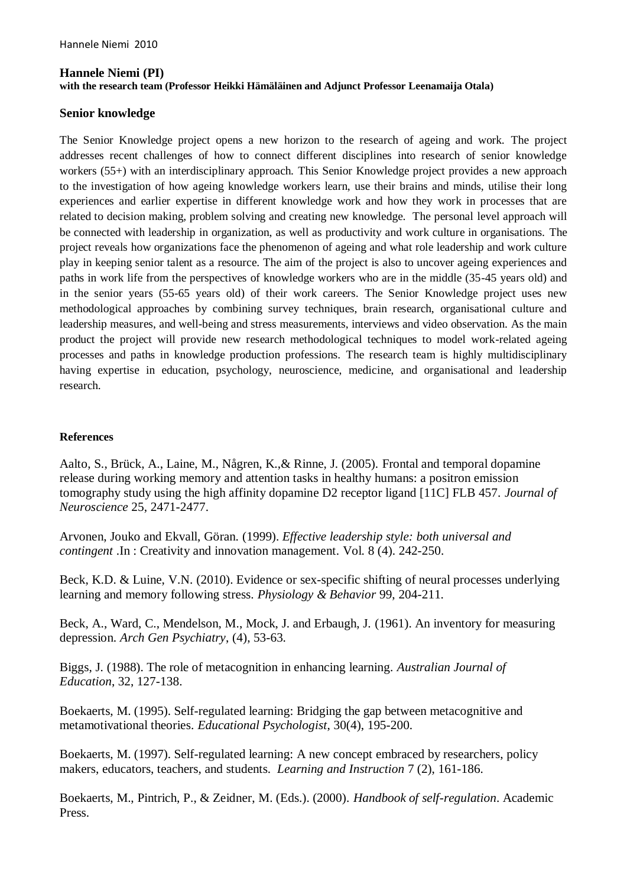## **Hannele Niemi (PI) with the research team (Professor Heikki Hämäläinen and Adjunct Professor Leenamaija Otala)**

## **Senior knowledge**

The Senior Knowledge project opens a new horizon to the research of ageing and work. The project addresses recent challenges of how to connect different disciplines into research of senior knowledge workers (55+) with an interdisciplinary approach. This Senior Knowledge project provides a new approach to the investigation of how ageing knowledge workers learn, use their brains and minds, utilise their long experiences and earlier expertise in different knowledge work and how they work in processes that are related to decision making, problem solving and creating new knowledge. The personal level approach will be connected with leadership in organization, as well as productivity and work culture in organisations. The project reveals how organizations face the phenomenon of ageing and what role leadership and work culture play in keeping senior talent as a resource. The aim of the project is also to uncover ageing experiences and paths in work life from the perspectives of knowledge workers who are in the middle (35-45 years old) and in the senior years (55-65 years old) of their work careers. The Senior Knowledge project uses new methodological approaches by combining survey techniques, brain research, organisational culture and leadership measures, and well-being and stress measurements, interviews and video observation. As the main product the project will provide new research methodological techniques to model work-related ageing processes and paths in knowledge production professions. The research team is highly multidisciplinary having expertise in education, psychology, neuroscience, medicine, and organisational and leadership research.

## **References**

Aalto, S., Brück, A., Laine, M., Någren, K.,& Rinne, J. (2005). Frontal and temporal dopamine release during working memory and attention tasks in healthy humans: a positron emission tomography study using the high affinity dopamine D2 receptor ligand [11C] FLB 457. *Journal of Neuroscience* 25, 2471-2477.

Arvonen, Jouko and Ekvall, Göran. (1999). *Effective leadership style: both universal and contingent* .In : Creativity and innovation management. Vol. 8 (4). 242-250.

Beck, K.D. & Luine, V.N. (2010). Evidence or sex-specific shifting of neural processes underlying learning and memory following stress. *Physiology & Behavior* 99, 204-211.

Beck, A., Ward, C., Mendelson, M., Mock, J. and Erbaugh, J. (1961). An inventory for measuring depression. *Arch Gen Psychiatry*, (4), 53-63.

Biggs, J. (1988). The role of metacognition in enhancing learning. *Australian Journal of Education*, 32, 127-138.

Boekaerts, M. (1995). Self-regulated learning: Bridging the gap between metacognitive and metamotivational theories. *Educational Psychologist*, 30(4), 195-200.

Boekaerts, M. (1997). Self-regulated learning: A new concept embraced by researchers, policy makers, educators, teachers, and students. *Learning and Instruction* 7 (2), 161-186.

Boekaerts, M., Pintrich, P., & Zeidner, M. (Eds.). (2000). *Handbook of self-regulation*. Academic Press.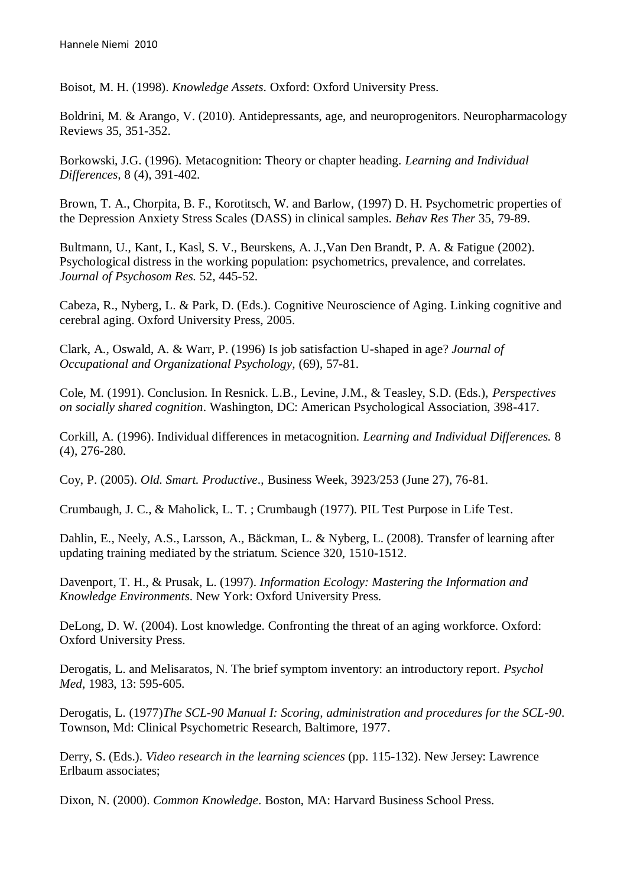Boisot, M. H. (1998). *Knowledge Assets*. Oxford: Oxford University Press.

Boldrini, M. & Arango, V. (2010). Antidepressants, age, and neuroprogenitors. Neuropharmacology Reviews 35, 351-352.

Borkowski, J.G. (1996). Metacognition: Theory or chapter heading. *Learning and Individual Differences,* 8 (4), 391-402.

Brown, T. A., Chorpita, B. F., Korotitsch, W. and Barlow, (1997) D. H. Psychometric properties of the Depression Anxiety Stress Scales (DASS) in clinical samples. *Behav Res Ther* 35, 79-89.

Bultmann, U., Kant, I., Kasl, S. V., Beurskens, A. J.,Van Den Brandt, P. A. & Fatigue (2002). Psychological distress in the working population: psychometrics, prevalence, and correlates. *Journal of Psychosom Res.* 52, 445-52.

Cabeza, R., Nyberg, L. & Park, D. (Eds.). Cognitive Neuroscience of Aging. Linking cognitive and cerebral aging. Oxford University Press, 2005.

Clark, A., Oswald, A. & Warr, P. (1996) Is job satisfaction U-shaped in age? *Journal of Occupational and Organizational Psychology,* (69), 57-81.

Cole, M. (1991). Conclusion. In Resnick. L.B., Levine, J.M., & Teasley, S.D. (Eds.), *Perspectives on socially shared cognition*. Washington, DC: American Psychological Association, 398-417.

Corkill, A. (1996). Individual differences in metacognition. *Learning and Individual Differences.* 8 (4), 276-280.

Coy, P. (2005). *Old. Smart. Productive*., Business Week, 3923/253 (June 27), 76-81.

Crumbaugh, J. C., & Maholick, L. T. ; Crumbaugh (1977). PIL Test Purpose in Life Test.

Dahlin, E., Neely, A.S., Larsson, A., Bäckman, L. & Nyberg, L. (2008). Transfer of learning after updating training mediated by the striatum. Science 320, 1510-1512.

Davenport, T. H., & Prusak, L. (1997). *Information Ecology: Mastering the Information and Knowledge Environments*. New York: Oxford University Press.

DeLong, D. W. (2004). Lost knowledge. Confronting the threat of an aging workforce. Oxford: Oxford University Press.

Derogatis, L. and Melisaratos, N. The brief symptom inventory: an introductory report. *Psychol Med*, 1983, 13: 595-605.

Derogatis, L. (1977)*The SCL-90 Manual I: Scoring, administration and procedures for the SCL-90*. Townson, Md: Clinical Psychometric Research, Baltimore, 1977.

Derry, S. (Eds.). *Video research in the learning sciences* (pp. 115-132). New Jersey: Lawrence Erlbaum associates;

Dixon, N. (2000). *Common Knowledge*. Boston, MA: Harvard Business School Press.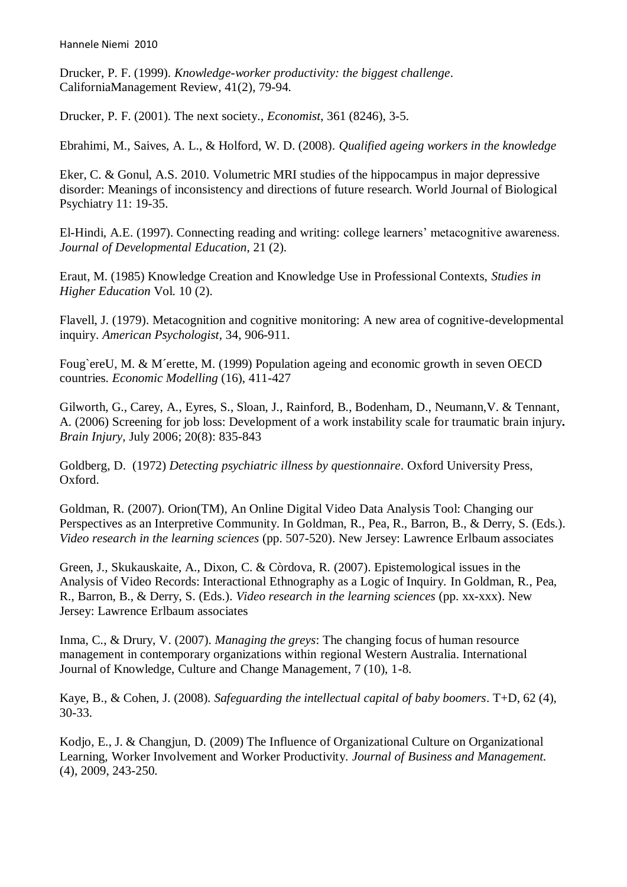Drucker, P. F. (1999). *Knowledge-worker productivity: the biggest challenge*. CaliforniaManagement Review, 41(2), 79-94.

Drucker, P. F. (2001). The next society., *Economist*, 361 (8246), 3-5.

Ebrahimi, M., Saives, A. L., & Holford, W. D. (2008). *Qualified ageing workers in the knowledge*

Eker, C. & Gonul, A.S. 2010. Volumetric MRI studies of the hippocampus in major depressive disorder: Meanings of inconsistency and directions of future research. World Journal of Biological Psychiatry 11: 19-35.

El-Hindi, A.E. (1997). Connecting reading and writing: college learners' metacognitive awareness. *Journal of Developmental Education*, 21 (2).

Eraut, M. (1985) Knowledge Creation and Knowledge Use in Professional Contexts, *Studies in Higher Education* Vol. 10 (2).

Flavell, J. (1979). Metacognition and cognitive monitoring: A new area of cognitive-developmental inquiry. *American Psychologist*, 34, 906-911.

Foug`ereU, M. & M´erette, M. (1999) Population ageing and economic growth in seven OECD countries. *Economic Modelling* (16), 411-427

Gilworth, G., Carey, A., Eyres, S., Sloan, J., Rainford, B., Bodenham, D., Neumann,V. & Tennant, A. (2006) Screening for job loss: Development of a work instability scale for traumatic brain injury**.**  *Brain Injury,* July 2006; 20(8): 835-843

Goldberg, D. (1972) *Detecting psychiatric illness by questionnaire*. Oxford University Press, Oxford.

Goldman, R. (2007). Orion(TM), An Online Digital Video Data Analysis Tool: Changing our Perspectives as an Interpretive Community. In Goldman, R., Pea, R., Barron, B., & Derry, S. (Eds.). *Video research in the learning sciences* (pp. 507-520). New Jersey: Lawrence Erlbaum associates

Green, J., Skukauskaite, A., Dixon, C. & Còrdova, R. (2007). Epistemological issues in the Analysis of Video Records: Interactional Ethnography as a Logic of Inquiry. In Goldman, R., Pea, R., Barron, B., & Derry, S. (Eds.). *Video research in the learning sciences* (pp. xx-xxx). New Jersey: Lawrence Erlbaum associates

Inma, C., & Drury, V. (2007). *Managing the greys*: The changing focus of human resource management in contemporary organizations within regional Western Australia. International Journal of Knowledge, Culture and Change Management, 7 (10), 1-8.

Kaye, B., & Cohen, J. (2008). *Safeguarding the intellectual capital of baby boomers*. T+D, 62 (4), 30-33.

Kodjo, E., J. & Changjun, D. (2009) The Influence of Organizational Culture on Organizational Learning, Worker Involvement and Worker Productivity. *Journal of Business and Management.* (4), 2009, 243-250.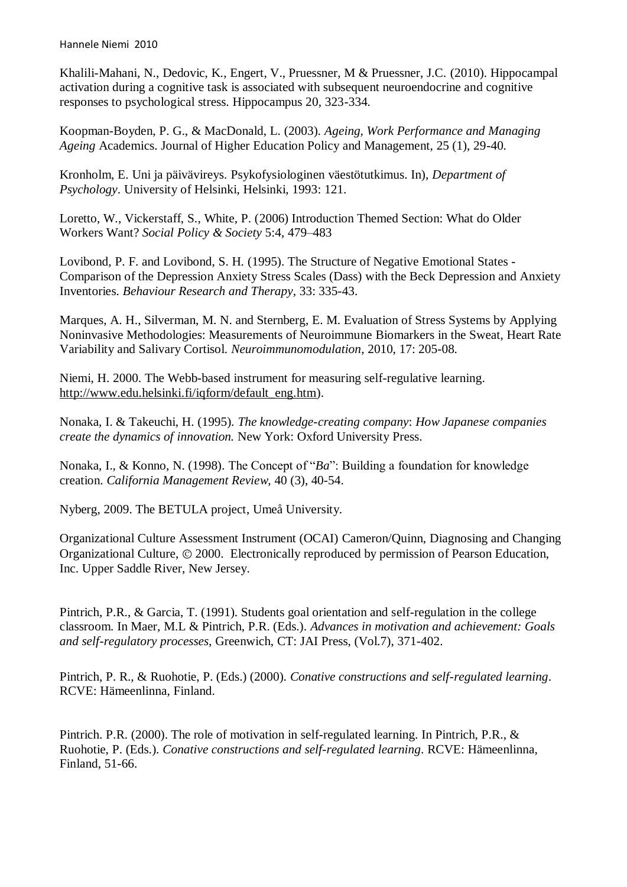Khalili-Mahani, N., Dedovic, K., Engert, V., Pruessner, M & Pruessner, J.C. (2010). Hippocampal activation during a cognitive task is associated with subsequent neuroendocrine and cognitive responses to psychological stress. Hippocampus 20, 323-334.

Koopman-Boyden, P. G., & MacDonald, L. (2003). *Ageing, Work Performance and Managing Ageing* Academics. Journal of Higher Education Policy and Management, 25 (1), 29-40.

Kronholm, E. Uni ja päivävireys. Psykofysiologinen väestötutkimus. In), *Department of Psychology*. University of Helsinki, Helsinki, 1993: 121.

Loretto, W., Vickerstaff, S., White, P. (2006) Introduction Themed Section: What do Older Workers Want? *Social Policy & Society* 5:4, 479–483

Lovibond, P. F. and Lovibond, S. H. (1995). The Structure of Negative Emotional States - Comparison of the Depression Anxiety Stress Scales (Dass) with the Beck Depression and Anxiety Inventories. *Behaviour Research and Therapy*, 33: 335-43.

Marques, A. H., Silverman, M. N. and Sternberg, E. M. Evaluation of Stress Systems by Applying Noninvasive Methodologies: Measurements of Neuroimmune Biomarkers in the Sweat, Heart Rate Variability and Salivary Cortisol. *Neuroimmunomodulation*, 2010, 17: 205-08.

Niemi, H. 2000. The Webb-based instrument for measuring self-regulative learning. [http://www.edu.helsinki.fi/iqform/default\\_eng.htm\)](http://www.edu.helsinki.fi/iqform/default_eng.htm).

Nonaka, I. & Takeuchi, H. (1995). *The knowledge-creating company*: *How Japanese companies create the dynamics of innovation.* New York: Oxford University Press.

Nonaka, I., & Konno, N. (1998). The Concept of "*Ba*": Building a foundation for knowledge creation. *California Management Review,* 40 (3), 40-54.

Nyberg, 2009. The BETULA project, Umeå University.

Organizational Culture Assessment Instrument (OCAI) Cameron/Quinn, Diagnosing and Changing Organizational Culture,  $\odot$  2000. Electronically reproduced by permission of Pearson Education, Inc. Upper Saddle River, New Jersey.

Pintrich, P.R., & Garcia, T. (1991). Students goal orientation and self-regulation in the college classroom. In Maer, M.L & Pintrich, P.R. (Eds.). *Advances in motivation and achievement: Goals and self-regulatory processes,* Greenwich, CT: JAI Press, (Vol.7), 371-402.

Pintrich, P. R., & Ruohotie, P. (Eds.) (2000). *Conative constructions and self-regulated learning*. RCVE: Hämeenlinna, Finland.

Pintrich. P.R. (2000). The role of motivation in self-regulated learning. In Pintrich, P.R., & Ruohotie, P. (Eds.). *Conative constructions and self-regulated learning*. RCVE: Hämeenlinna, Finland, 51-66.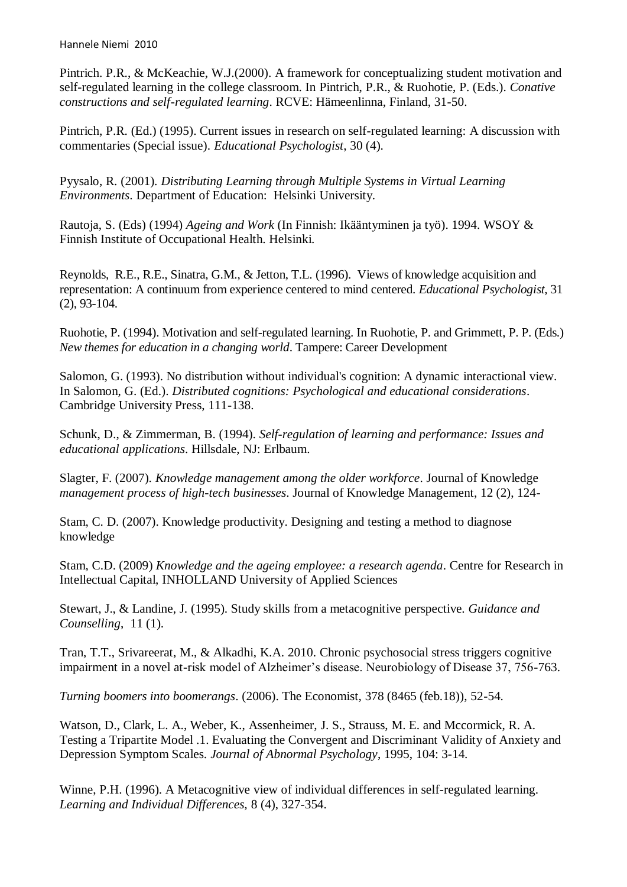Pintrich. P.R., & McKeachie, W.J.(2000). A framework for conceptualizing student motivation and self-regulated learning in the college classroom. In Pintrich, P.R., & Ruohotie, P. (Eds.). *Conative constructions and self-regulated learning*. RCVE: Hämeenlinna, Finland, 31-50.

Pintrich, P.R. (Ed.) (1995). Current issues in research on self-regulated learning: A discussion with commentaries (Special issue). *Educational Psychologist*, 30 (4).

Pyysalo, R. (2001). *Distributing Learning through Multiple Systems in Virtual Learning Environments*. Department of Education: Helsinki University.

Rautoja, S. (Eds) (1994) *Ageing and Work* (In Finnish: Ikääntyminen ja työ). 1994. WSOY & Finnish Institute of Occupational Health. Helsinki.

Reynolds, R.E., R.E., Sinatra, G.M., & Jetton, T.L. (1996). Views of knowledge acquisition and representation: A continuum from experience centered to mind centered. *Educational Psychologist,* 31 (2), 93-104.

Ruohotie, P. (1994). Motivation and self-regulated learning. In Ruohotie, P. and Grimmett, P. P. (Eds.) *New themes for education in a changing world*. Tampere: Career Development

Salomon, G. (1993). No distribution without individual's cognition: A dynamic interactional view. In Salomon, G. (Ed.). *Distributed cognitions: Psychological and educational considerations*. Cambridge University Press, 111-138.

Schunk, D., & Zimmerman, B. (1994). *Self-regulation of learning and performance: Issues and educational applications*. Hillsdale, NJ: Erlbaum.

Slagter, F. (2007). *Knowledge management among the older workforce*. Journal of Knowledge *management process of high-tech businesses*. Journal of Knowledge Management, 12 (2), 124-

Stam, C. D. (2007). Knowledge productivity. Designing and testing a method to diagnose knowledge

Stam, C.D. (2009) *Knowledge and the ageing employee: a research agenda*. Centre for Research in Intellectual Capital, INHOLLAND University of Applied Sciences

Stewart, J., & Landine, J. (1995). Study skills from a metacognitive perspective. *Guidance and Counselling*, 11 (1).

Tran, T.T., Srivareerat, M., & Alkadhi, K.A. 2010. Chronic psychosocial stress triggers cognitive impairment in a novel at-risk model of Alzheimer's disease. Neurobiology of Disease 37, 756-763.

*Turning boomers into boomerangs*. (2006). The Economist, 378 (8465 (feb.18)), 52-54.

Watson, D., Clark, L. A., Weber, K., Assenheimer, J. S., Strauss, M. E. and Mccormick, R. A. Testing a Tripartite Model .1. Evaluating the Convergent and Discriminant Validity of Anxiety and Depression Symptom Scales. *Journal of Abnormal Psychology*, 1995, 104: 3-14.

Winne, P.H. (1996). A Metacognitive view of individual differences in self-regulated learning. *Learning and Individual Differences,* 8 (4), 327-354.